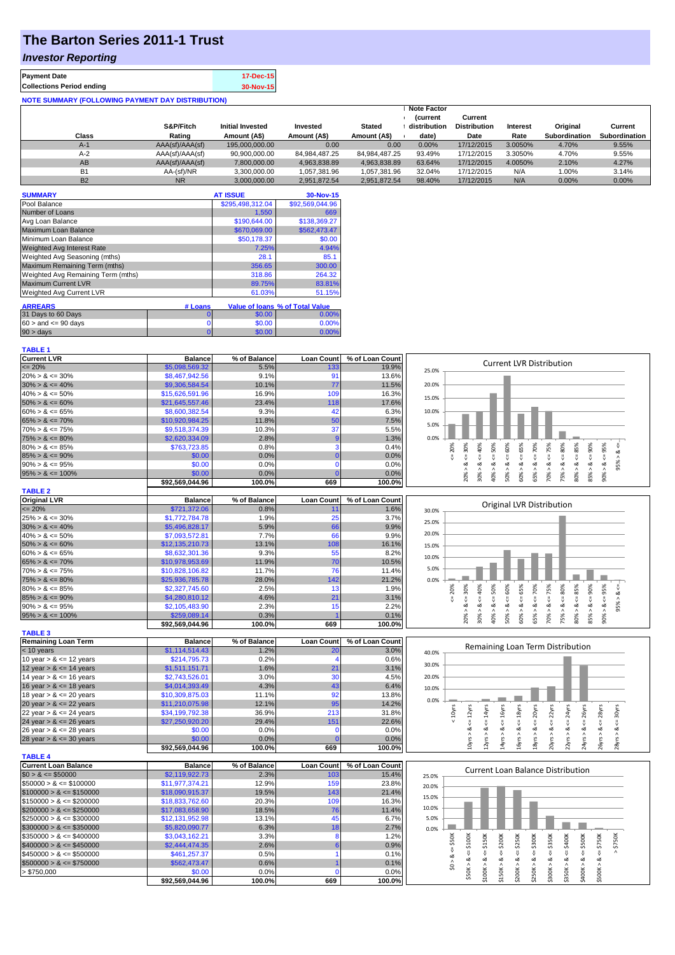## **The Barton Series 2011-1 Trust**

## *Investor Reporting*

| <b>Payment Date</b>                                      | 17-Dec-15 |
|----------------------------------------------------------|-----------|
| <b>Collections Period ending</b>                         | 30-Nov-15 |
| <b>NOTE SUMMARY (FOLLOWING PAYMENT DAY DISTRIBUTION)</b> |           |

|           | S&P/Fitch       | <b>Initial Invested</b> | Invested      | <b>Stated</b>     | <b>Note Factor</b><br><i>(current</i><br>distribution | Current<br><b>Distribution</b> | Interest | Original      | Current              |
|-----------|-----------------|-------------------------|---------------|-------------------|-------------------------------------------------------|--------------------------------|----------|---------------|----------------------|
| Class     | Rating          | Amount (A\$)            | Amount (A\$)  | Amount (A\$)      | date)                                                 | Date                           | Rate     | Subordination | <b>Subordination</b> |
| $A-1$     | AAA(sf)/AAA(sf) | 195.000.000.00          | 0.00          | 0.00 <sub>1</sub> | 0.00%                                                 | 17/12/2015                     | 3.0050%  | 4.70%         | 9.55%                |
| $A-2$     | AAA(sf)/AAA(sf) | 90.900.000.00           | 84.984.487.25 | 84.984.487.25     | 93.49%                                                | 17/12/2015                     | 3.3050%  | 4.70%         | 9.55%                |
| AB        | AAA(sf)/AAA(sf) | 7.800.000.00            | 4,963,838.89  | 4.963.838.89      | 63.64%                                                | 17/12/2015                     | 4.0050%  | 2.10%         | 4.27%                |
| <b>B1</b> | AA-(sf)/NR      | 3.300.000.00            | 1,057,381.96  | 1.057.381.96      | 32.04%                                                | 17/12/2015                     | N/A      | 1.00%         | 3.14%                |
| <b>B2</b> | <b>NR</b>       | 3.000.000.00            | 2.951.872.54  | 2.951.872.54      | 98.40%                                                | 17/12/2015                     | N/A      | 0.00%         | $0.00\%$             |

| <b>SUMMARY</b>                     |         | <b>AT ISSUE</b>  | 30-Nov-15                       |
|------------------------------------|---------|------------------|---------------------------------|
| Pool Balance                       |         | \$295,498,312.04 | \$92,569,044.96                 |
| Number of Loans                    |         | 1,550            | 669                             |
| Avg Loan Balance                   |         | \$190,644.00     | \$138,369.27                    |
| Maximum Loan Balance               |         | \$670,069.00     | \$562,473.47                    |
| Minimum Loan Balance               |         | \$50,178.37      | \$0.00                          |
| <b>Weighted Avg Interest Rate</b>  |         | 7.25%            | 4.94%                           |
| Weighted Avg Seasoning (mths)      |         | 28.1             | 85.1                            |
| Maximum Remaining Term (mths)      |         | 356.65           | 300.00                          |
| Weighted Avg Remaining Term (mths) |         | 318.86           | 264.32                          |
| <b>Maximum Current LVR</b>         |         | 89.75%           | 83.81%                          |
| Weighted Avg Current LVR           |         | 61.03%           | 51.15%                          |
| <b>ARREARS</b>                     | # Loans |                  | Value of Ioans % of Total Value |
| 31 Days to 60 Days                 | 0       | \$0.00           | 0.00%                           |
| $60 >$ and $\leq 90$ days          | 0       | \$0.00           | 0.00%                           |
| 90 > davs                          | 0       | \$0.00           | 0.00%                           |

| <b>Current LVR</b>   | <b>Balance</b>  | % of Balance | <b>Loan Count</b> | % of Loan Count |       |    |     |     |    |     |         |   |                                 |     |     |    |  |
|----------------------|-----------------|--------------|-------------------|-----------------|-------|----|-----|-----|----|-----|---------|---|---------------------------------|-----|-----|----|--|
| $\leq$ 20%           | \$5,098,569.32  | 5.5%         | 133               | 19.9%           | 25.0% |    |     |     |    |     |         |   | <b>Current LVR Distribution</b> |     |     |    |  |
| $20\% > 8 \le 30\%$  | \$8,467,942.56  | 9.1%         | 91                | 13.6%           |       |    |     |     |    |     |         |   |                                 |     |     |    |  |
| $30\% > 8 \le 40\%$  | \$9,306,584.54  | 10.1%        | 77                | 11.5%           | 20.0% |    |     |     |    |     |         |   |                                 |     |     |    |  |
| $40\% > 8 \le 50\%$  | \$15,626,591.96 | 16.9%        | 109               | 16.3%           | 15.0% |    |     |     |    |     |         |   |                                 |     |     |    |  |
| $50\% > 8 \le 60\%$  | \$21,645,557,46 | 23.4%        | 118               | 17.6%           |       |    |     |     |    |     |         |   |                                 |     |     |    |  |
| $60\% > 8 \le 65\%$  | \$8,600,382.54  | 9.3%         |                   | 6.3%            | 10.0% |    |     |     |    |     |         |   |                                 |     |     |    |  |
| $65\% > 8 \le 70\%$  | \$10,920,984.25 | 11.8%        | 50                | 7.5%            | 5.0%  |    |     |     |    |     |         |   |                                 |     |     |    |  |
| $70\% > 8 \le 75\%$  | \$9,518,374.39  | 10.3%        | 37                | 5.5%            |       |    |     |     |    |     |         |   |                                 |     |     |    |  |
| $75\% > 8 \le 80\%$  | \$2,620,334.09  | 2.8%         |                   | 1.3%            | 0.0%  |    |     |     |    |     |         |   |                                 |     |     |    |  |
| $80\% > 8 \le 85\%$  | \$763,723.85    | 0.8%         |                   | 0.4%            |       | ଛ  |     | 80% | ŝ. | 55% | $^{80}$ |   | ŝ0,                             | ိဂ် | 90% | ૹ૾ |  |
| $85\% > 8 \le 90\%$  | \$0.00          | 0.0%         |                   | 0.0%            |       |    |     |     |    |     |         |   |                                 |     |     |    |  |
| $90\% > 8 \le 95\%$  | \$0.00          | 0.0%         |                   | 0.0%            |       |    |     |     |    |     |         |   |                                 | ∞   |     |    |  |
| $95\% > 8 \le 100\%$ | \$0.00          | 0.0%         |                   | 0.0%            |       |    |     | ŝ   | ŝ  |     | 55%     |   |                                 |     |     |    |  |
|                      | \$92,569,044.96 | 100.0%       | 669               | 100.0%          |       | Ř. | င္က |     |    | င္ယ |         | ⊝ | ĸ                               | 8   | 85% | ŝ  |  |
| <b>TABLE 2</b>       |                 |              |                   |                 |       |    |     |     |    |     |         |   |                                 |     |     |    |  |

| <b>Original LVR</b>  | <b>Balance</b>  | % of Balance | <b>Loan Count</b> | % of Loan Count |
|----------------------|-----------------|--------------|-------------------|-----------------|
| $\leq$ 20%           | \$721,372.06    | 0.8%         | 11                | 1.6%            |
| $25\% > 8 \le 30\%$  | \$1,772,784.78  | 1.9%         | 25                | 3.7%            |
| $30\% > 8 \le 40\%$  | \$5,496,828,17  | 5.9%         | 66                | 9.9%            |
| $40\% > 8 \le 50\%$  | \$7,093,572.81  | 7.7%         | 66                | 9.9%            |
| $50\% > 8 \le 60\%$  | \$12.135.210.73 | 13.1%        | 108               | 16.1%           |
| $60\% > 8 \le 65\%$  | \$8,632,301.36  | 9.3%         | 55                | 8.2%            |
| $65\% > 8 \le 70\%$  | \$10,978,953,69 | 11.9%        | 70                | 10.5%           |
| $70\% > 8 \le 75\%$  | \$10,828,106,82 | 11.7%        | 76                | 11.4%           |
| $75\% > 8 \le 80\%$  | \$25,936,785,78 | 28.0%        | 142               | 21.2%           |
| $80\% > 8 \le 85\%$  | \$2,327,745.60  | 2.5%         | 13                | 1.9%            |
| $85\% > 8 \le 90\%$  | \$4,280,810.12  | 4.6%         | 21                | 3.1%            |
| $90\% > 8 \le 95\%$  | \$2,105,483.90  | 2.3%         | 15                | 2.2%            |
| $95\% > 8 \le 100\%$ | \$259,089.14    | 0.3%         |                   | 0.1%            |

**\$92,569,044.96 100.0% 669 100.0%**

|       |     |       |       |       |        |       |       | <b>Original LVR Distribution</b> |       |        |        |          |         |  |
|-------|-----|-------|-------|-------|--------|-------|-------|----------------------------------|-------|--------|--------|----------|---------|--|
| 30.0% |     |       |       |       |        |       |       |                                  |       |        |        |          |         |  |
| 25.0% |     |       |       |       |        |       |       |                                  |       |        |        |          |         |  |
| 20.0% |     |       |       |       |        |       |       |                                  |       |        |        |          |         |  |
| 15.0% |     |       |       |       |        |       |       |                                  |       |        |        |          |         |  |
| 10.0% |     |       |       |       |        |       |       |                                  |       |        |        |          |         |  |
| 5.0%  |     |       |       |       |        |       |       |                                  |       |        |        |          |         |  |
| 0.0%  |     |       |       |       |        |       |       |                                  |       |        |        |          |         |  |
|       | 20% | 30%   | 40%   | 50%   | 60%    | 65%   | 70%   | 75%                              | 80%   | 85%    | 90%    | 95%      | ₩       |  |
|       | ₩   | ₩     | ű     | ₩     | ű      | V     | ₩     | $\mathbf{H}$<br>ü                | ι,    | ₩      | ű      | V        | 95% > 8 |  |
|       |     | ∞     | ∞     | ઌ     | ಎ<br>٨ | ∞     | ઌ     | ಂಶ<br>$\wedge$                   | ಷ     | ∞<br>٨ | ∞<br>Λ | ∞        |         |  |
|       |     | 20% > | 30% > | 40% > | 50%    | 60% > | 65% > | 70%                              | 75% > | 80%    | 85%    | $00\% >$ |         |  |

|                            | <b>PJZ,JUJ,UTT.JU</b> | 100.070      | vvJ.              | 100.070         |
|----------------------------|-----------------------|--------------|-------------------|-----------------|
| <b>TABLE 3</b>             |                       |              |                   |                 |
| Remaining Loan Term        | <b>Balance</b>        | % of Balance | <b>Loan Count</b> | % of Loan Count |
| $<$ 10 years               | \$1,114,514.43        | 1.2%         | 20                | 3.0%            |
| 10 year $> 8 \le 12$ years | \$214,795.73          | 0.2%         |                   | 0.6%            |
| 12 year $> 8 \le 14$ years | \$1,511,151.71        | 1.6%         | 21                | 3.1%            |
| 14 year $> 8 \le 16$ years | \$2,743,526.01        | 3.0%         | 30                | 4.5%            |
| 16 year $> 8 \le 18$ years | \$4,014,393.49        | 4.3%         | 43                | 6.4%            |
| 18 year $> 8 \le 20$ years | \$10,309,875.03       | 11.1%        | 92                | 13.8%           |
| 20 year $> 8 \le 22$ years | \$11,210,075.98       | 12.1%        | 95                | 14.2%           |
| 22 year $> 8 \le 24$ years | \$34,199,792.38       | 36.9%        | 213               | 31.8%           |
| 24 year $> 8 \le 26$ years | \$27,250,920.20       | 29.4%        | 151               | 22.6%           |
| 26 year $> 8 \le 28$ years | \$0.00                | 0.0%         |                   | 0.0%            |
| 28 year $> 8 \le 30$ years | \$0.00                | $0.0\%$      |                   | 0.0%            |
|                            | \$92.569.044.96       | 100.0%       | 669               | 100.0%          |



|                              | 932,JUJ,U44.JU  | 100.070      | ึงงฮ              | 100.070         | ↽<br>−<br>$\sim$<br>$\sim$<br>$\sim$<br>$\sim$ |
|------------------------------|-----------------|--------------|-------------------|-----------------|------------------------------------------------|
| <b>TABLE 4</b>               |                 |              |                   |                 |                                                |
| Current Loan Balance         | <b>Balance</b>  | % of Balance | <b>Loan Count</b> | % of Loan Count | Current Loan Balance Distribution              |
| $$0 > 8 \leq $50000$         | \$2,119,922.73  | 2.3%         | 103               | 15.4%           | 25.0%                                          |
| $\$50000 > 8 \leq \$100000$  | \$11.977.374.21 | 12.9%        | 159               | 23.8%           | 20.0%                                          |
| $$100000 > 8 \leq $150000$   | \$18,090,915.37 | 19.5%        | 143               | 21.4%           |                                                |
| $\$150000 > 8 \leq \$200000$ | \$18,833,762,60 | 20.3%        | 109               | 16.3%           | 15.0%                                          |
| $$200000 > 8 \leq $250000$   | \$17,083,658.90 | 18.5%        | 76                | 11.4%           | 10.0%                                          |
| $\$250000 > 8 \leq \$300000$ | \$12,131,952.98 | 13.1%        | 45                | 6.7%            | 5.0%                                           |
| $$300000 > 8 \leq $350000$   | \$5,820,090.77  | 6.3%         | 18                | 2.7%            | 0.0%                                           |
| $$350000 > 8 \leq $400000$   | \$3,043,162.21  | 3.3%         |                   | 1.2%            | 300K<br>50K<br>ă                               |
| $$400000 > 8 \leq $450000$   | \$2,444,474,35  | 2.6%         |                   | 0.9%            | Ū<br>∼                                         |
| $\$450000 > 8 \leq \$500000$ | \$461.257.37    | 0.5%         |                   | 0.1%            |                                                |
| $$500000 > 8 \leq $750000$   | \$562,473.47    | 0.6%         |                   | 0.1%            |                                                |
| > \$750,000                  | \$0.00          | 0.0%         |                   | $0.0\%$         | ¥                                              |
|                              | \$92.569.044.96 | 100.0%       | 669               | $100.0\%$       | $\bar{ }$                                      |